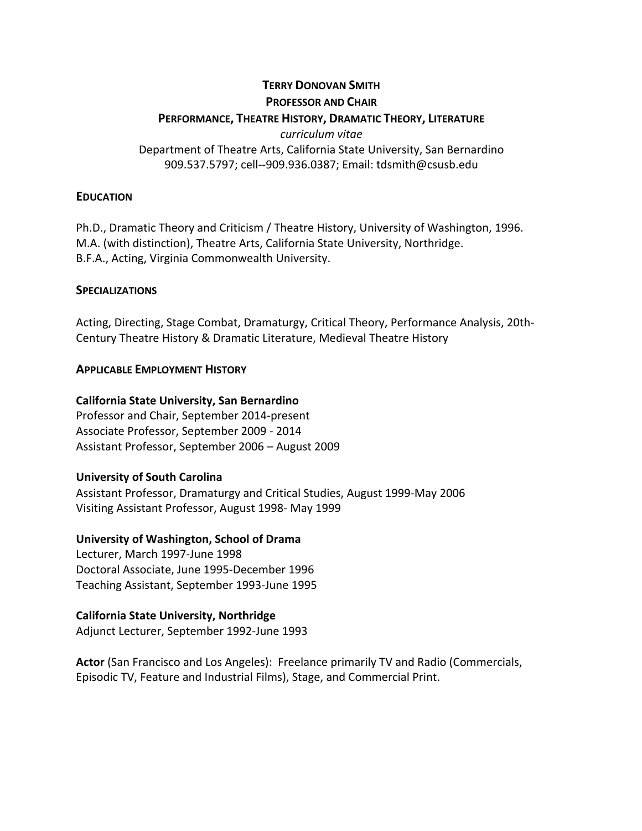### **TERRY DONOVAN SMITH**

#### **PROFESSOR AND CHAIR**

# **PERFORMANCE, THEATRE HISTORY, DRAMATIC THEORY, LITERATURE**

*curriculum vitae*

Department of Theatre Arts, California State University, San Bernardino 909.537.5797; cell--909.936.0387; Email: tdsmith@csusb.edu

### **EDUCATION**

Ph.D., Dramatic Theory and Criticism / Theatre History, University of Washington, 1996. M.A. (with distinction), Theatre Arts, California State University, Northridge. B.F.A., Acting, Virginia Commonwealth University.

### **SPECIALIZATIONS**

Acting, Directing, Stage Combat, Dramaturgy, Critical Theory, Performance Analysis, 20th-Century Theatre History & Dramatic Literature, Medieval Theatre History

### **APPLICABLE EMPLOYMENT HISTORY**

# **California State University, San Bernardino**

Professor and Chair, September 2014-present Associate Professor, September 2009 - 2014 Assistant Professor, September 2006 – August 2009

# **University of South Carolina**

Assistant Professor, Dramaturgy and Critical Studies, August 1999-May 2006 Visiting Assistant Professor, August 1998- May 1999

# **University of Washington, School of Drama**

Lecturer, March 1997-June 1998 Doctoral Associate, June 1995-December 1996 Teaching Assistant, September 1993-June 1995

# **California State University, Northridge**

Adjunct Lecturer, September 1992-June 1993

**Actor** (San Francisco and Los Angeles): Freelance primarily TV and Radio (Commercials, Episodic TV, Feature and Industrial Films), Stage, and Commercial Print.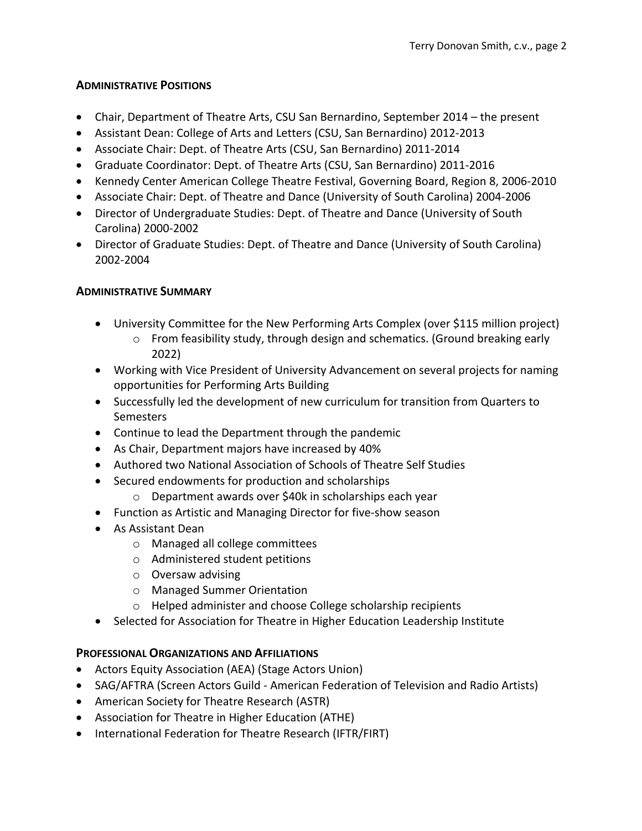### **ADMINISTRATIVE POSITIONS**

- Chair, Department of Theatre Arts, CSU San Bernardino, September 2014 the present
- Assistant Dean: College of Arts and Letters (CSU, San Bernardino) 2012-2013
- Associate Chair: Dept. of Theatre Arts (CSU, San Bernardino) 2011-2014
- Graduate Coordinator: Dept. of Theatre Arts (CSU, San Bernardino) 2011-2016
- Kennedy Center American College Theatre Festival, Governing Board, Region 8, 2006-2010
- Associate Chair: Dept. of Theatre and Dance (University of South Carolina) 2004-2006
- Director of Undergraduate Studies: Dept. of Theatre and Dance (University of South Carolina) 2000-2002
- Director of Graduate Studies: Dept. of Theatre and Dance (University of South Carolina) 2002-2004

# **ADMINISTRATIVE SUMMARY**

- University Committee for the New Performing Arts Complex (over \$115 million project)
	- $\circ$  From feasibility study, through design and schematics. (Ground breaking early 2022)
- Working with Vice President of University Advancement on several projects for naming opportunities for Performing Arts Building
- Successfully led the development of new curriculum for transition from Quarters to **Semesters**
- Continue to lead the Department through the pandemic
- As Chair, Department majors have increased by 40%
- Authored two National Association of Schools of Theatre Self Studies
- Secured endowments for production and scholarships
	- o Department awards over \$40k in scholarships each year
- Function as Artistic and Managing Director for five-show season
- As Assistant Dean
	- o Managed all college committees
	- o Administered student petitions
	- o Oversaw advising
	- o Managed Summer Orientation
	- o Helped administer and choose College scholarship recipients
- Selected for Association for Theatre in Higher Education Leadership Institute

# **PROFESSIONAL ORGANIZATIONS AND AFFILIATIONS**

- Actors Equity Association (AEA) (Stage Actors Union)
- SAG/AFTRA (Screen Actors Guild American Federation of Television and Radio Artists)
- American Society for Theatre Research (ASTR)
- Association for Theatre in Higher Education (ATHE)
- International Federation for Theatre Research (IFTR/FIRT)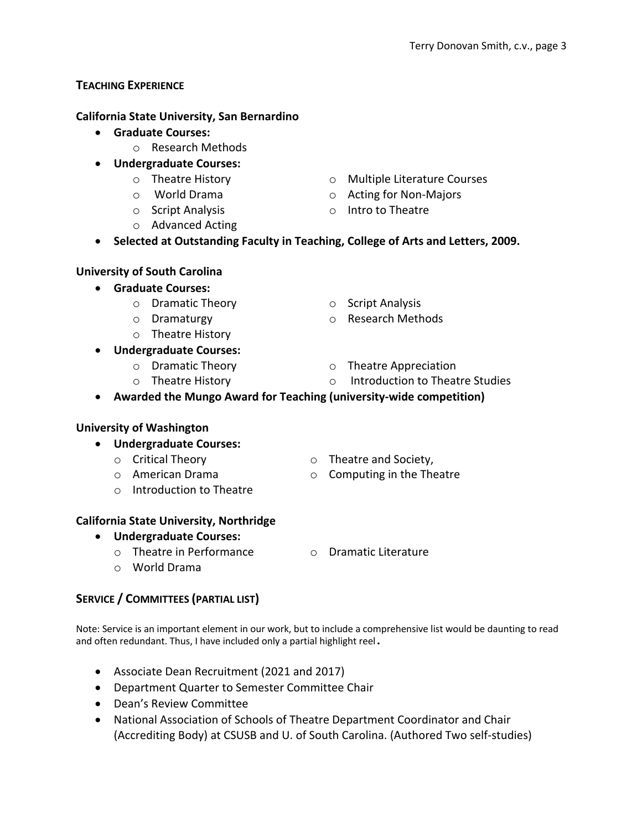# **TEACHING EXPERIENCE**

# **California State University, San Bernardino**

- **Graduate Courses:** 
	- o Research Methods
- **Undergraduate Courses:**
	- o Theatre History
	- o World Drama
	- o Script Analysis
	- o Advanced Acting
- o Multiple Literature Courses
- o Acting for Non-Majors
- o Intro to Theatre

• **Selected at Outstanding Faculty in Teaching, College of Arts and Letters, 2009.**

# **University of South Carolina**

- **Graduate Courses:**
	- o Dramatic Theory
	- o Dramaturgy
	- o Theatre History
- **Undergraduate Courses:**
	- o Dramatic Theory
	- o Theatre History

o Research Methods

o Script Analysis

- o Theatre Appreciation
	- o Introduction to Theatre Studies
- **Awarded the Mungo Award for Teaching (university-wide competition)**

# **University of Washington**

- **Undergraduate Courses:**
	- o Critical Theory
	- o American Drama
	- o Introduction to Theatre

# **California State University, Northridge**

- **Undergraduate Courses:**
	- o Theatre in Performance
- o Dramatic Literature

o Theatre and Society, o Computing in the Theatre

o World Drama

# **SERVICE / COMMITTEES (PARTIAL LIST)**

Note: Service is an important element in our work, but to include a comprehensive list would be daunting to read and often redundant. Thus, I have included only a partial highlight reel.

- Associate Dean Recruitment (2021 and 2017)
- Department Quarter to Semester Committee Chair
- Dean's Review Committee
- National Association of Schools of Theatre Department Coordinator and Chair (Accrediting Body) at CSUSB and U. of South Carolina. (Authored Two self-studies)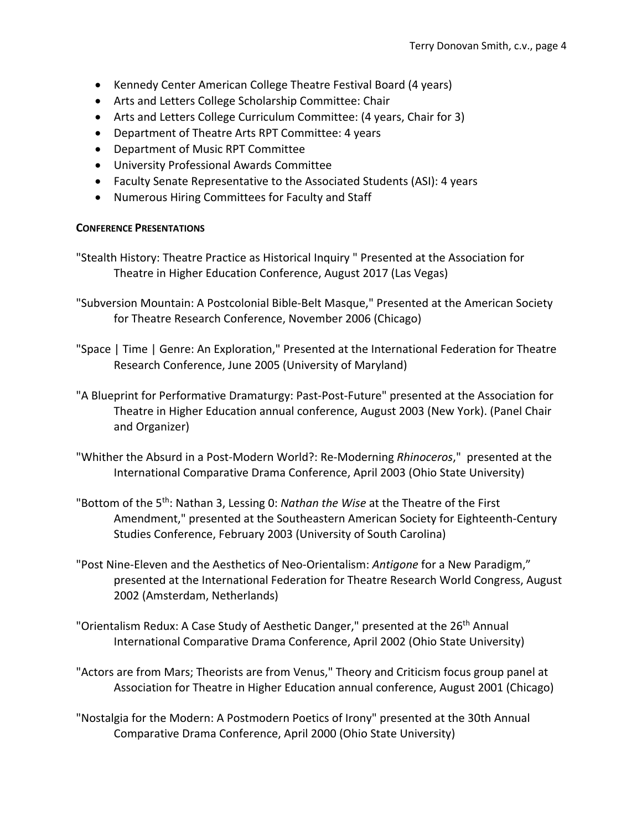- Kennedy Center American College Theatre Festival Board (4 years)
- Arts and Letters College Scholarship Committee: Chair
- Arts and Letters College Curriculum Committee: (4 years, Chair for 3)
- Department of Theatre Arts RPT Committee: 4 years
- Department of Music RPT Committee
- University Professional Awards Committee
- Faculty Senate Representative to the Associated Students (ASI): 4 years
- Numerous Hiring Committees for Faculty and Staff

#### **CONFERENCE PRESENTATIONS**

- "Stealth History: Theatre Practice as Historical Inquiry " Presented at the Association for Theatre in Higher Education Conference, August 2017 (Las Vegas)
- "Subversion Mountain: A Postcolonial Bible-Belt Masque," Presented at the American Society for Theatre Research Conference, November 2006 (Chicago)
- "Space | Time | Genre: An Exploration," Presented at the International Federation for Theatre Research Conference, June 2005 (University of Maryland)
- "A Blueprint for Performative Dramaturgy: Past-Post-Future" presented at the Association for Theatre in Higher Education annual conference, August 2003 (New York). (Panel Chair and Organizer)
- "Whither the Absurd in a Post-Modern World?: Re-Moderning *Rhinoceros*," presented at the International Comparative Drama Conference, April 2003 (Ohio State University)
- "Bottom of the 5th: Nathan 3, Lessing 0: *Nathan the Wise* at the Theatre of the First Amendment," presented at the Southeastern American Society for Eighteenth-Century Studies Conference, February 2003 (University of South Carolina)
- "Post Nine-Eleven and the Aesthetics of Neo-Orientalism: *Antigone* for a New Paradigm," presented at the International Federation for Theatre Research World Congress, August 2002 (Amsterdam, Netherlands)
- "Orientalism Redux: A Case Study of Aesthetic Danger," presented at the 26<sup>th</sup> Annual International Comparative Drama Conference, April 2002 (Ohio State University)
- "Actors are from Mars; Theorists are from Venus," Theory and Criticism focus group panel at Association for Theatre in Higher Education annual conference, August 2001 (Chicago)
- "Nostalgia for the Modern: A Postmodern Poetics of Irony" presented at the 30th Annual Comparative Drama Conference, April 2000 (Ohio State University)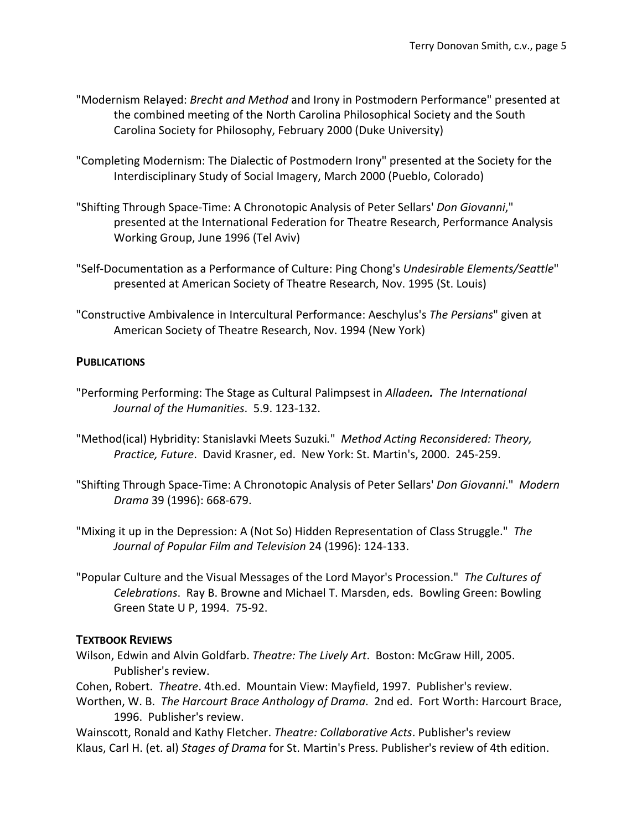- "Modernism Relayed: *Brecht and Method* and Irony in Postmodern Performance" presented at the combined meeting of the North Carolina Philosophical Society and the South Carolina Society for Philosophy, February 2000 (Duke University)
- "Completing Modernism: The Dialectic of Postmodern Irony" presented at the Society for the Interdisciplinary Study of Social Imagery, March 2000 (Pueblo, Colorado)
- "Shifting Through Space-Time: A Chronotopic Analysis of Peter Sellars' *Don Giovanni*," presented at the International Federation for Theatre Research, Performance Analysis Working Group, June 1996 (Tel Aviv)
- "Self-Documentation as a Performance of Culture: Ping Chong's *Undesirable Elements/Seattle*" presented at American Society of Theatre Research, Nov. 1995 (St. Louis)
- "Constructive Ambivalence in Intercultural Performance: Aeschylus's *The Persians*" given at American Society of Theatre Research, Nov. 1994 (New York)

### **PUBLICATIONS**

- "Performing Performing: The Stage as Cultural Palimpsest in *Alladeen. The International Journal of the Humanities*. 5.9. 123-132.
- "Method(ical) Hybridity: Stanislavki Meets Suzuki*.*" *Method Acting Reconsidered: Theory, Practice, Future*. David Krasner, ed. New York: St. Martin's, 2000. 245-259.
- "Shifting Through Space-Time: A Chronotopic Analysis of Peter Sellars' *Don Giovanni*." *Modern Drama* 39 (1996): 668-679.
- "Mixing it up in the Depression: A (Not So) Hidden Representation of Class Struggle." *The Journal of Popular Film and Television* 24 (1996): 124-133.
- "Popular Culture and the Visual Messages of the Lord Mayor's Procession." *The Cultures of Celebrations*. Ray B. Browne and Michael T. Marsden, eds. Bowling Green: Bowling Green State U P, 1994. 75-92.

#### **TEXTBOOK REVIEWS**

- Wilson, Edwin and Alvin Goldfarb. *Theatre: The Lively Art*. Boston: McGraw Hill, 2005. Publisher's review.
- Cohen, Robert. *Theatre*. 4th.ed. Mountain View: Mayfield, 1997. Publisher's review.
- Worthen, W. B. *The Harcourt Brace Anthology of Drama*. 2nd ed. Fort Worth: Harcourt Brace, 1996. Publisher's review.

Wainscott, Ronald and Kathy Fletcher. *Theatre: Collaborative Acts*. Publisher's review Klaus, Carl H. (et. al) *Stages of Drama* for St. Martin's Press. Publisher's review of 4th edition.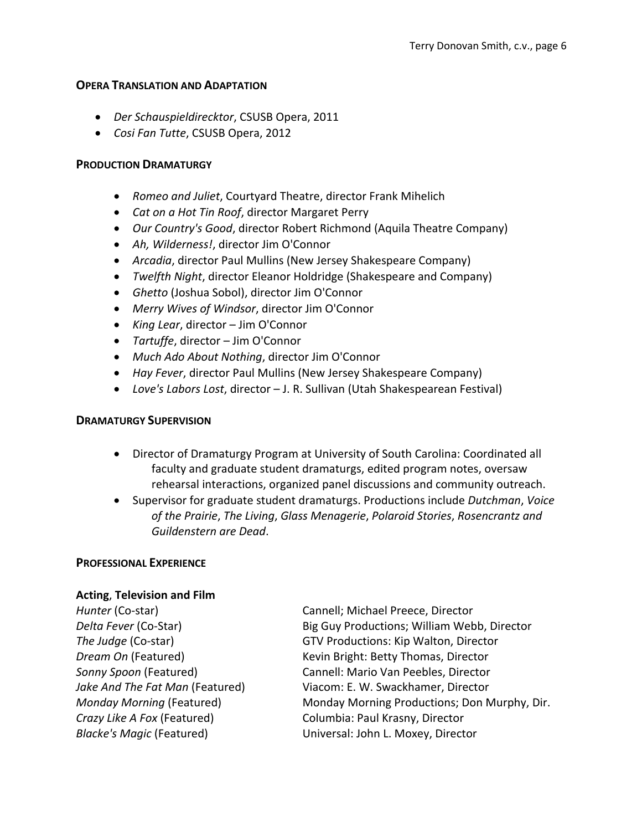#### **OPERA TRANSLATION AND ADAPTATION**

- *Der Schauspieldirecktor*, CSUSB Opera, 2011
- *Cosi Fan Tutte*, CSUSB Opera, 2012

#### **PRODUCTION DRAMATURGY**

- *Romeo and Juliet*, Courtyard Theatre, director Frank Mihelich
- *Cat on a Hot Tin Roof*, director Margaret Perry
- *Our Country's Good*, director Robert Richmond (Aquila Theatre Company)
- *Ah, Wilderness!*, director Jim O'Connor
- *Arcadia*, director Paul Mullins (New Jersey Shakespeare Company)
- *Twelfth Night*, director Eleanor Holdridge (Shakespeare and Company)
- *Ghetto* (Joshua Sobol), director Jim O'Connor
- *Merry Wives of Windsor*, director Jim O'Connor
- *King Lear*, director Jim O'Connor
- *Tartuffe*, director Jim O'Connor
- *Much Ado About Nothing*, director Jim O'Connor
- *Hay Fever*, director Paul Mullins (New Jersey Shakespeare Company)
- *Love's Labors Lost*, director J. R. Sullivan (Utah Shakespearean Festival)

#### **DRAMATURGY SUPERVISION**

- Director of Dramaturgy Program at University of South Carolina: Coordinated all faculty and graduate student dramaturgs, edited program notes, oversaw rehearsal interactions, organized panel discussions and community outreach.
- Supervisor for graduate student dramaturgs. Productions include *Dutchman*, *Voice of the Prairie*, *The Living*, *Glass Menagerie*, *Polaroid Stories*, *Rosencrantz and Guildenstern are Dead*.

#### **PROFESSIONAL EXPERIENCE**

#### **Acting**, **Television and Film**

*Crazy Like A Fox* (Featured) Columbia: Paul Krasny, Director

**Hunter** (Co-star) **Cannell**; Michael Preece, Director *Delta Fever* (Co-Star) Big Guy Productions; William Webb, Director *The Judge* (Co-star) GTV Productions: Kip Walton, Director **Dream On (Featured)** Kevin Bright: Betty Thomas, Director *Sonny Spoon* (Featured) Cannell: Mario Van Peebles, Director *Jake And The Fat Man* (Featured) Viacom: E. W. Swackhamer, Director *Monday Morning* (Featured) Monday Morning Productions; Don Murphy, Dir. *Blacke's Magic* (Featured) Universal: John L. Moxey, Director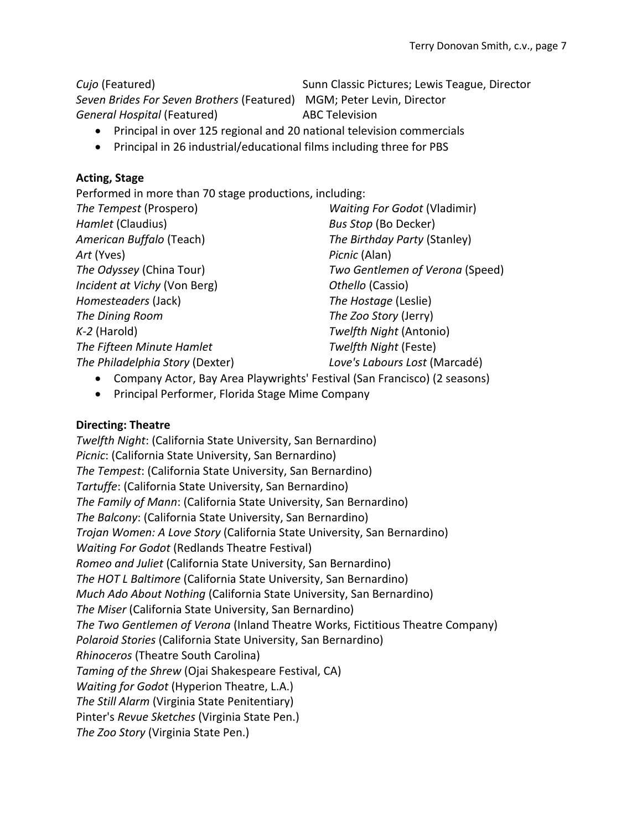*Cujo* (Featured) Sunn Classic Pictures; Lewis Teague, Director *Seven Brides For Seven Brothers* (Featured) MGM; Peter Levin, Director

**General Hospital (Featured)** ABC Television

- Principal in over 125 regional and 20 national television commercials
- Principal in 26 industrial/educational films including three for PBS

# **Acting, Stage**

Performed in more than 70 stage productions, including:

| The Tempest (Prospero)          | <b>Waiting For Godot (Vladimir)</b> |
|---------------------------------|-------------------------------------|
| Hamlet (Claudius)               | <b>Bus Stop (Bo Decker)</b>         |
| American Buffalo (Teach)        | The Birthday Party (Stanley)        |
| Art (Yves)                      | Picnic (Alan)                       |
| The Odyssey (China Tour)        | Two Gentlemen of Verona (Speed)     |
| Incident at Vichy (Von Berg)    | Othello (Cassio)                    |
| Homesteaders (Jack)             | The Hostage (Leslie)                |
| The Dining Room                 | The Zoo Story (Jerry)               |
| $K-2$ (Harold)                  | Twelfth Night (Antonio)             |
| The Fifteen Minute Hamlet       | Twelfth Night (Feste)               |
| The Philadelphia Story (Dexter) | Love's Labours Lost (Marcadé)       |
|                                 |                                     |

- Company Actor, Bay Area Playwrights' Festival (San Francisco) (2 seasons)
- Principal Performer, Florida Stage Mime Company

# **Directing: Theatre**

*Twelfth Night*: (California State University, San Bernardino) *Picnic*: (California State University, San Bernardino) *The Tempest*: (California State University, San Bernardino) *Tartuffe*: (California State University, San Bernardino) *The Family of Mann*: (California State University, San Bernardino) *The Balcony*: (California State University, San Bernardino) *Trojan Women: A Love Story* (California State University, San Bernardino) *Waiting For Godot* (Redlands Theatre Festival) *Romeo and Juliet* (California State University, San Bernardino) *The HOT L Baltimore* (California State University, San Bernardino) *Much Ado About Nothing* (California State University, San Bernardino) *The Miser* (California State University, San Bernardino) *The Two Gentlemen of Verona* (Inland Theatre Works, Fictitious Theatre Company) *Polaroid Stories* (California State University, San Bernardino) *Rhinoceros* (Theatre South Carolina) *Taming of the Shrew* (Ojai Shakespeare Festival, CA) *Waiting for Godot* (Hyperion Theatre, L.A.) *The Still Alarm* (Virginia State Penitentiary) Pinter's *Revue Sketches* (Virginia State Pen.) *The Zoo Story* (Virginia State Pen.)